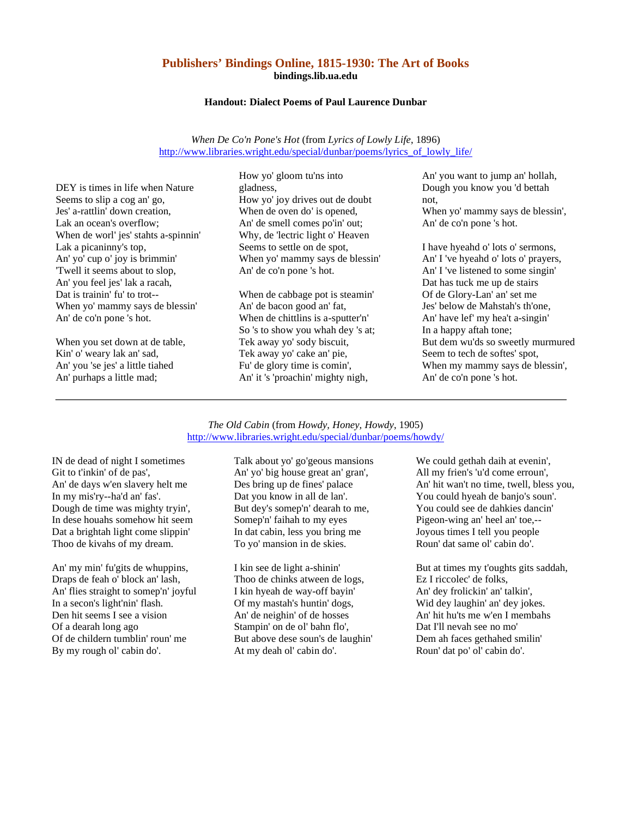## **Publishers' Bindings Online, 1815-1930: The Art of Books bindings.lib.ua.edu**

## **Handout: Dialect Poems of Paul Laurence Dunbar**

*When De Co'n Pone's Hot* (from *Lyrics of Lowly Life*, 1896) http://www.libraries.wright.edu/special/dunbar/poems/lyrics\_of\_lowly\_life/

DEY is times in life when Nature Seems to slip a cog an' go, Jes' a-rattlin' down creation, Lak an ocean's overflow; When de worl' jes' stahts a-spinnin' Lak a picaninny's top, An' yo' cup o' joy is brimmin' 'Twell it seems about to slop, An' you feel jes' lak a racah, Dat is trainin' fu' to trot-- When yo' mammy says de blessin' An' de co'n pone 's hot.

When you set down at de table, Kin' o' weary lak an' sad, An' you 'se jes' a little tiahed An' purhaps a little mad;

How yo' gloom tu'ns into gladness, How yo' joy drives out de doubt When de oven do' is opened, An' de smell comes po'in' out; Why, de 'lectric light o' Heaven Seems to settle on de spot, When yo' mammy says de blessin' An' de co'n pone 's hot.

When de cabbage pot is steamin' An' de bacon good an' fat, When de chittlins is a-sputter'n' So 's to show you whah dey 's at; Tek away yo' sody biscuit, Tek away yo' cake an' pie, Fu' de glory time is comin', An' it 's 'proachin' mighty nigh,

An' you want to jump an' hollah, Dough you know you 'd bettah not, When yo' mammy says de blessin', An' de co'n pone 's hot.

I have hyeahd o' lots o' sermons, An' I 've hyeahd o' lots o' prayers, An' I 've listened to some singin' Dat has tuck me up de stairs Of de Glory-Lan' an' set me Jes' below de Mahstah's th'one, An' have lef' my hea't a-singin' In a happy aftah tone; But dem wu'ds so sweetly murmured Seem to tech de softes' spot, When my mammy says de blessin', An' de co'n pone 's hot.

## *The Old Cabin* (from *Howdy, Honey, Howdy*, 1905) http://www.libraries.wright.edu/special/dunbar/poems/howdy/

IN de dead of night I sometimes Git to t'inkin' of de pas', An' de days w'en slavery helt me In my mis'ry--ha'd an' fas'. Dough de time was mighty tryin', In dese houahs somehow hit seem Dat a brightah light come slippin' Thoo de kivahs of my dream.

An' my min' fu'gits de whuppins, Draps de feah o' block an' lash, An' flies straight to somep'n' joyful In a secon's light'nin' flash. Den hit seems I see a vision Of a dearah long ago Of de childern tumblin' roun' me By my rough ol' cabin do'.

Talk about yo' go'geous mansions An' yo' big house great an' gran', Des bring up de fines' palace Dat you know in all de lan'. But dey's somep'n' dearah to me, Somep'n' faihah to my eyes In dat cabin, less you bring me To yo' mansion in de skies.

I kin see de light a-shinin' Thoo de chinks atween de logs, I kin hyeah de way-off bayin' Of my mastah's huntin' dogs, An' de neighin' of de hosses Stampin' on de ol' bahn flo', But above dese soun's de laughin' At my deah ol' cabin do'.

We could gethah daih at evenin', All my frien's 'u'd come erroun', An' hit wan't no time, twell, bless you, You could hyeah de banjo's soun'. You could see de dahkies dancin' Pigeon-wing an' heel an' toe,-- Joyous times I tell you people Roun' dat same ol' cabin do'.

But at times my t'oughts gits saddah, Ez I riccolec' de folks, An' dey frolickin' an' talkin', Wid dey laughin' an' dey jokes. An' hit hu'ts me w'en I membahs Dat I'll nevah see no mo' Dem ah faces gethahed smilin' Roun' dat po' ol' cabin do'.